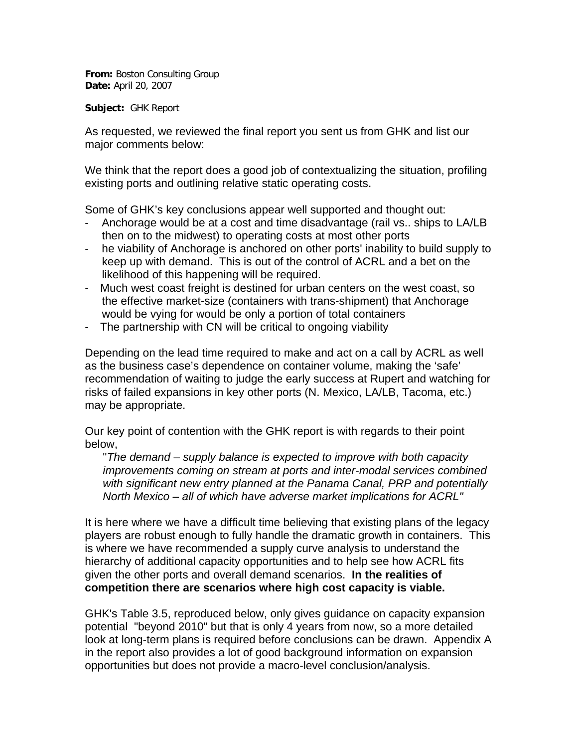**From:** Boston Consulting Group **Date:** April 20, 2007

**Subject:** GHK Report

As requested, we reviewed the final report you sent us from GHK and list our major comments below:

We think that the report does a good job of contextualizing the situation, profiling existing ports and outlining relative static operating costs.

Some of GHK's key conclusions appear well supported and thought out:

- Anchorage would be at a cost and time disadvantage (rail vs.. ships to LA/LB then on to the midwest) to operating costs at most other ports
- he viability of Anchorage is anchored on other ports' inability to build supply to keep up with demand. This is out of the control of ACRL and a bet on the likelihood of this happening will be required.
- Much west coast freight is destined for urban centers on the west coast, so the effective market-size (containers with trans-shipment) that Anchorage would be vying for would be only a portion of total containers
- The partnership with CN will be critical to ongoing viability

Depending on the lead time required to make and act on a call by ACRL as well as the business case's dependence on container volume, making the 'safe' recommendation of waiting to judge the early success at Rupert and watching for risks of failed expansions in key other ports (N. Mexico, LA/LB, Tacoma, etc.) may be appropriate.

Our key point of contention with the GHK report is with regards to their point below,

"*The demand – supply balance is expected to improve with both capacity improvements coming on stream at ports and inter-modal services combined with significant new entry planned at the Panama Canal, PRP and potentially North Mexico – all of which have adverse market implications for ACRL"*

It is here where we have a difficult time believing that existing plans of the legacy players are robust enough to fully handle the dramatic growth in containers. This is where we have recommended a supply curve analysis to understand the hierarchy of additional capacity opportunities and to help see how ACRL fits given the other ports and overall demand scenarios. **In the realities of competition there are scenarios where high cost capacity is viable.** 

GHK's Table 3.5, reproduced below, only gives guidance on capacity expansion potential "beyond 2010" but that is only 4 years from now, so a more detailed look at long-term plans is required before conclusions can be drawn. Appendix A in the report also provides a lot of good background information on expansion opportunities but does not provide a macro-level conclusion/analysis.